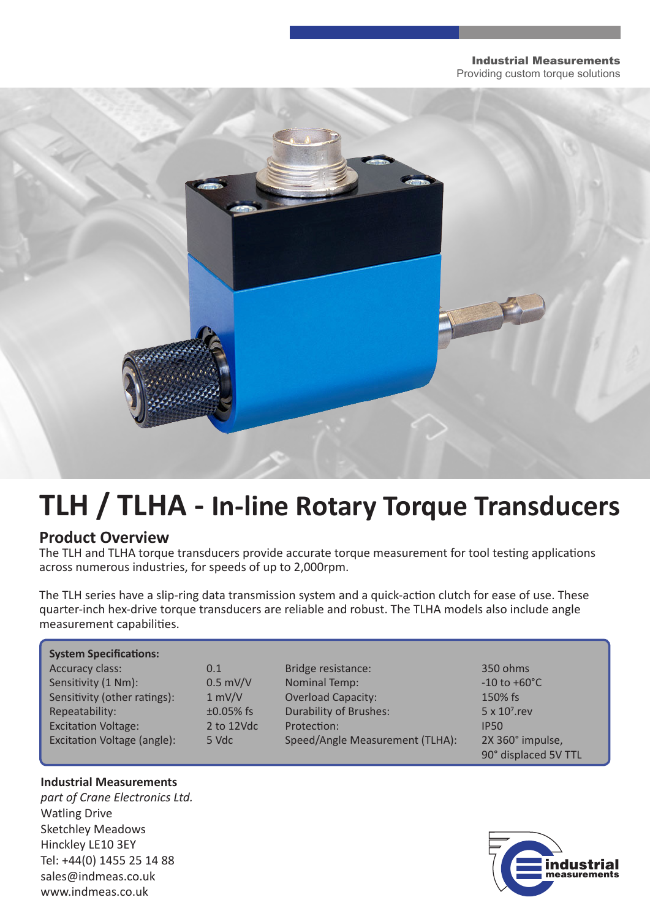#### Industrial Measurements Providing custom torque solutions



# **TLH / TLHA - In-line Rotary Torque Transducers**

#### **Product Overview**

The TLH and TLHA torque transducers provide accurate torque measurement for tool testing applications across numerous industries, for speeds of up to 2,000rpm.

The TLH series have a slip-ring data transmission system and a quick-action clutch for ease of use. These quarter-inch hex-drive torque transducers are reliable and robust. The TLHA models also include angle measurement capabilities.

| <b>System Specifications:</b> |              |                                 |                          |
|-------------------------------|--------------|---------------------------------|--------------------------|
| Accuracy class:               | 0.1          | Bridge resistance:              | 350 ohms                 |
| Sensitivity (1 Nm):           | $0.5$ mV/V   | Nominal Temp:                   | $-10$ to $+60^{\circ}$ C |
| Sensitivity (other ratings):  | 1 mV/V       | <b>Overload Capacity:</b>       | 150% fs                  |
| Repeatability:                | $±0.05\%$ fs | <b>Durability of Brushes:</b>   | $5 \times 10^7$ .rev     |
| <b>Excitation Voltage:</b>    | 2 to 12Vdc   | Protection:                     | <b>IP50</b>              |
| Excitation Voltage (angle):   | 5 Vdc        | Speed/Angle Measurement (TLHA): | 2X 360° impulse,         |
|                               |              |                                 | 90° displaced 5V TTL     |

#### **Industrial Measurements**

*part of Crane Electronics Ltd.* Watling Drive Sketchley Meadows Hinckley LE10 3EY Tel: +44(0) 1455 25 14 88 sales@indmeas.co.uk www.indmeas.co.uk

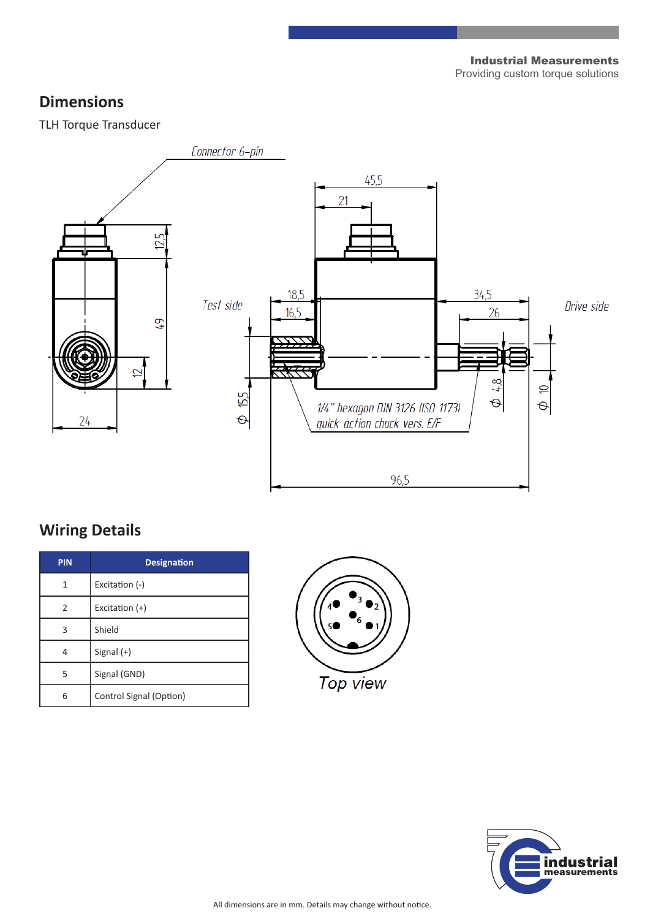Industrial Measurements Providing custom torque solutions

#### **Dimensions**

TLH Torque Transducer



### **Wiring Details**

| <b>PIN</b> | <b>Designation</b>      |  |  |
|------------|-------------------------|--|--|
| 1          | Excitation (-)          |  |  |
| 2          | Excitation $(+)$        |  |  |
| 3          | Shield                  |  |  |
| 4          | Signal $(+)$            |  |  |
| 5          | Signal (GND)            |  |  |
| հ          | Control Signal (Option) |  |  |



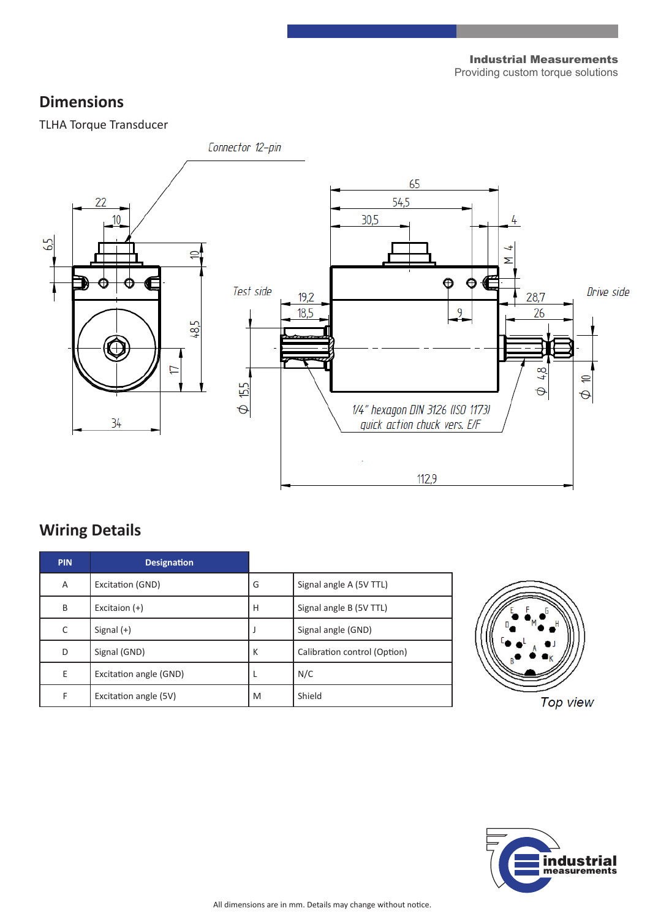Industrial Measurements Providing custom torque solutions

### **Dimensions**

TLHA Torque Transducer



### **Wiring Details**

| <b>PIN</b> | <b>Designation</b>     |   |                              |
|------------|------------------------|---|------------------------------|
| A          | Excitation (GND)       | G | Signal angle A (5V TTL)      |
| B          | Excitaion $(+)$        | H | Signal angle B (5V TTL)      |
| C          | Signal $(+)$           |   | Signal angle (GND)           |
| D          | Signal (GND)           | К | Calibration control (Option) |
| E          | Excitation angle (GND) |   | N/C                          |
| F          | Excitation angle (5V)  | M | Shield                       |